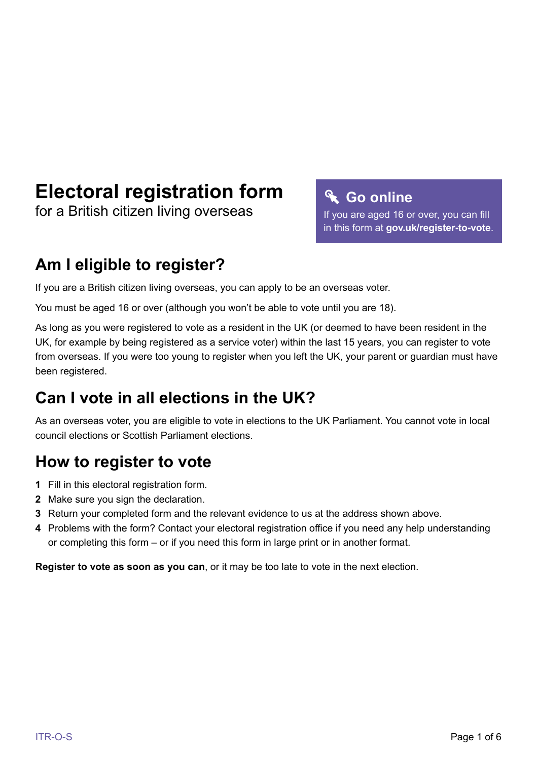# **Electoral registration form**

for a British citizen living overseas

# **Go online**

If you are aged 16 or over, you can fill in this form at **[gov.uk/register-to-vote](https://www.gov.uk/register-to-vote)**.

# **Am I eligible to register?**

If you are a British citizen living overseas, you can apply to be an overseas voter.

You must be aged 16 or over (although you won't be able to vote until you are 18).

As long as you were registered to vote as a resident in the UK (or deemed to have been resident in the UK, for example by being registered as a service voter) within the last 15 years, you can register to vote from overseas. If you were too young to register when you left the UK, your parent or guardian must have been registered.

# **Can I vote in all elections in the UK?**

As an overseas voter, you are eligible to vote in elections to the UK Parliament. You cannot vote in local council elections or Scottish Parliament elections.

# **How to register to vote**

- **1** Fill in this electoral registration form.
- **2** Make sure you sign the declaration.
- **3** Return your completed form and the relevant evidence to us at the address shown above.
- **4** Problems with the form? Contact your electoral registration office if you need any help understanding or completing this form – or if you need this form in large print or in another format.

**Register to vote as soon as you can**, or it may be too late to vote in the next election.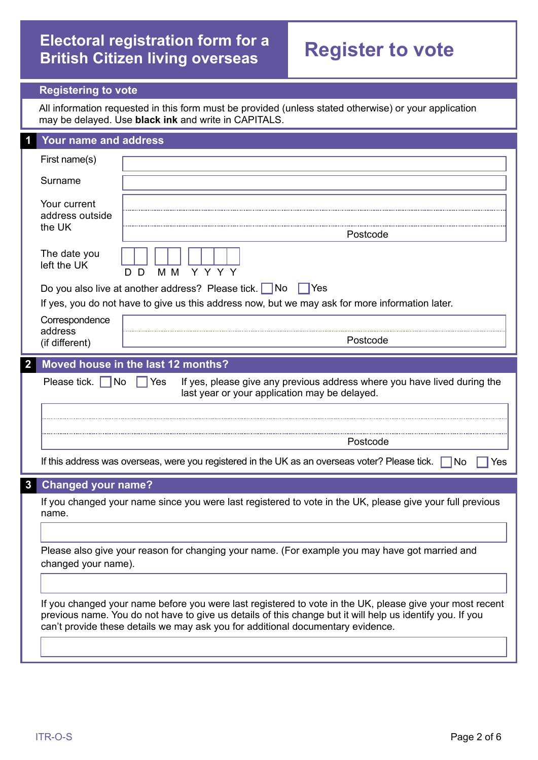## **Electoral registration form for a British Citizen living overseas Register to vote**

### **Registering to vote**

All information requested in this form must be provided (unless stated otherwise) or your application may be delayed. Use **black ink** and write in CAPITALS.

|                | Your name and address                     |                                                                                                                                                                                                                                                                                                          |  |
|----------------|-------------------------------------------|----------------------------------------------------------------------------------------------------------------------------------------------------------------------------------------------------------------------------------------------------------------------------------------------------------|--|
|                | First name(s)                             |                                                                                                                                                                                                                                                                                                          |  |
|                | Surname                                   |                                                                                                                                                                                                                                                                                                          |  |
|                | Your current<br>address outside<br>the UK |                                                                                                                                                                                                                                                                                                          |  |
|                |                                           | Postcode                                                                                                                                                                                                                                                                                                 |  |
|                | The date you<br>left the UK               | Y Y Y Y<br>M M<br>D<br>D.                                                                                                                                                                                                                                                                                |  |
|                |                                           | Do you also live at another address? Please tick. No<br>∣Yes                                                                                                                                                                                                                                             |  |
|                |                                           | If yes, you do not have to give us this address now, but we may ask for more information later.                                                                                                                                                                                                          |  |
|                | Correspondence                            |                                                                                                                                                                                                                                                                                                          |  |
|                | address<br>(if different)                 | Postcode                                                                                                                                                                                                                                                                                                 |  |
| $\overline{2}$ |                                           | Moved house in the last 12 months?                                                                                                                                                                                                                                                                       |  |
|                | Please tick.<br>No                        | If yes, please give any previous address where you have lived during the<br> Yes<br>last year or your application may be delayed.                                                                                                                                                                        |  |
|                |                                           |                                                                                                                                                                                                                                                                                                          |  |
|                |                                           | Postcode                                                                                                                                                                                                                                                                                                 |  |
|                |                                           | If this address was overseas, were you registered in the UK as an overseas voter? Please tick.<br>1No<br>Yes                                                                                                                                                                                             |  |
| $\mathbf{3}$   |                                           |                                                                                                                                                                                                                                                                                                          |  |
|                | <b>Changed your name?</b>                 |                                                                                                                                                                                                                                                                                                          |  |
|                | name.                                     | If you changed your name since you were last registered to vote in the UK, please give your full previous                                                                                                                                                                                                |  |
|                |                                           |                                                                                                                                                                                                                                                                                                          |  |
|                | changed your name).                       | Please also give your reason for changing your name. (For example you may have got married and                                                                                                                                                                                                           |  |
|                |                                           |                                                                                                                                                                                                                                                                                                          |  |
|                |                                           | If you changed your name before you were last registered to vote in the UK, please give your most recent<br>previous name. You do not have to give us details of this change but it will help us identify you. If you<br>can't provide these details we may ask you for additional documentary evidence. |  |
|                |                                           |                                                                                                                                                                                                                                                                                                          |  |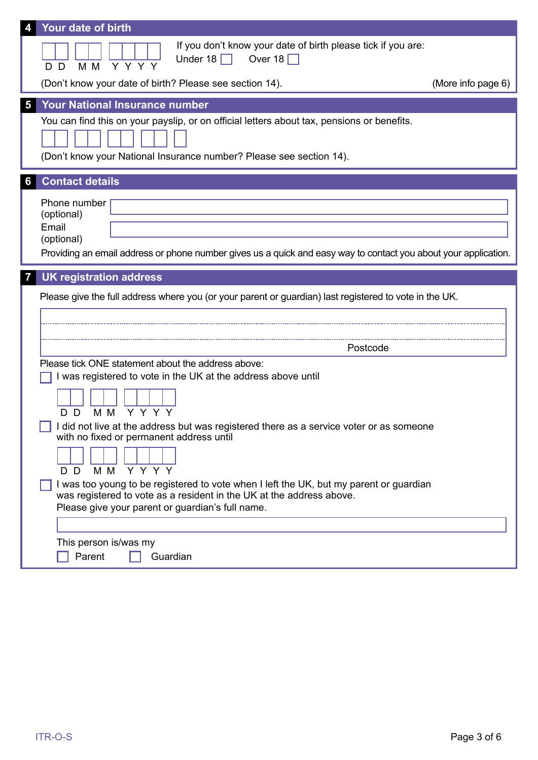|                | Your date of birth                                                                                                                                                                                                                                                                                                                                                                                                                                                                                                                                           |  |  |  |  |
|----------------|--------------------------------------------------------------------------------------------------------------------------------------------------------------------------------------------------------------------------------------------------------------------------------------------------------------------------------------------------------------------------------------------------------------------------------------------------------------------------------------------------------------------------------------------------------------|--|--|--|--|
|                | If you don't know your date of birth please tick if you are:<br>Under 18 $\Box$<br>Over 18 $\Box$<br>$Y$ $Y$ $\overline{Y}$ $\overline{Y}$<br>M M<br>D D<br>(Don't know your date of birth? Please see section 14).<br>(More info page 6)                                                                                                                                                                                                                                                                                                                    |  |  |  |  |
|                |                                                                                                                                                                                                                                                                                                                                                                                                                                                                                                                                                              |  |  |  |  |
| 5 <sup>5</sup> | <b>Your National Insurance number</b>                                                                                                                                                                                                                                                                                                                                                                                                                                                                                                                        |  |  |  |  |
|                | You can find this on your payslip, or on official letters about tax, pensions or benefits.<br>(Don't know your National Insurance number? Please see section 14).                                                                                                                                                                                                                                                                                                                                                                                            |  |  |  |  |
| 6              | <b>Contact details</b>                                                                                                                                                                                                                                                                                                                                                                                                                                                                                                                                       |  |  |  |  |
|                | Phone number<br>(optional)<br>Email<br>(optional)<br>Providing an email address or phone number gives us a quick and easy way to contact you about your application.                                                                                                                                                                                                                                                                                                                                                                                         |  |  |  |  |
| 7              | <b>UK registration address</b>                                                                                                                                                                                                                                                                                                                                                                                                                                                                                                                               |  |  |  |  |
|                | Please give the full address where you (or your parent or guardian) last registered to vote in the UK.                                                                                                                                                                                                                                                                                                                                                                                                                                                       |  |  |  |  |
|                | Postcode                                                                                                                                                                                                                                                                                                                                                                                                                                                                                                                                                     |  |  |  |  |
|                | Please tick ONE statement about the address above:<br>I was registered to vote in the UK at the address above until<br>M M<br>Y Y Y Y<br>D D.<br>I did not live at the address but was registered there as a service voter or as someone<br>with no fixed or permanent address until<br>Y Y Y Y<br>M M<br>D D<br>I was too young to be registered to vote when I left the UK, but my parent or guardian<br>was registered to vote as a resident in the UK at the address above.<br>Please give your parent or guardian's full name.<br>This person is/was my |  |  |  |  |
|                | Parent<br>Guardian                                                                                                                                                                                                                                                                                                                                                                                                                                                                                                                                           |  |  |  |  |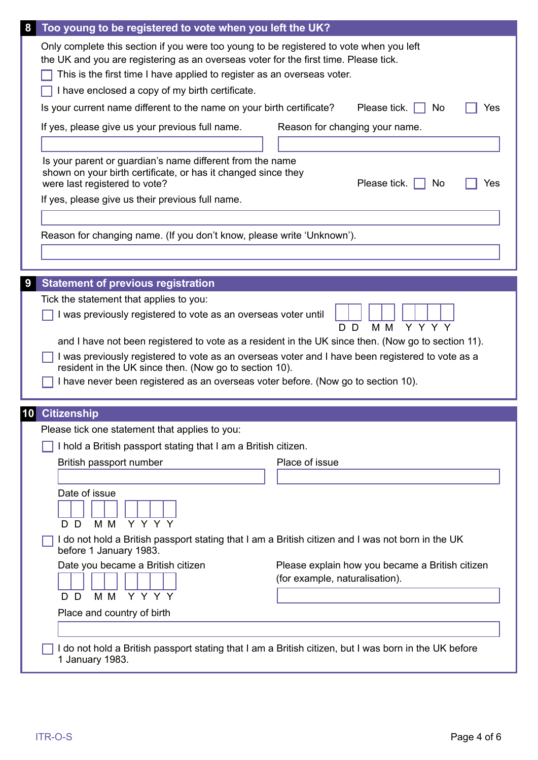| Too young to be registered to vote when you left the UK?<br>8                                                                                                                                                                                                                                                                                                                          |                                                                                                    |
|----------------------------------------------------------------------------------------------------------------------------------------------------------------------------------------------------------------------------------------------------------------------------------------------------------------------------------------------------------------------------------------|----------------------------------------------------------------------------------------------------|
| Only complete this section if you were too young to be registered to vote when you left<br>the UK and you are registering as an overseas voter for the first time. Please tick.<br>This is the first time I have applied to register as an overseas voter.<br>I have enclosed a copy of my birth certificate.<br>Is your current name different to the name on your birth certificate? | Please tick. $\Box$<br>No<br>Yes                                                                   |
| If yes, please give us your previous full name.                                                                                                                                                                                                                                                                                                                                        | Reason for changing your name.                                                                     |
|                                                                                                                                                                                                                                                                                                                                                                                        |                                                                                                    |
| Is your parent or guardian's name different from the name<br>shown on your birth certificate, or has it changed since they<br>were last registered to vote?                                                                                                                                                                                                                            | Please tick. $\Box$<br>No<br>Yes                                                                   |
| If yes, please give us their previous full name.                                                                                                                                                                                                                                                                                                                                       |                                                                                                    |
|                                                                                                                                                                                                                                                                                                                                                                                        |                                                                                                    |
| Reason for changing name. (If you don't know, please write 'Unknown').                                                                                                                                                                                                                                                                                                                 |                                                                                                    |
|                                                                                                                                                                                                                                                                                                                                                                                        |                                                                                                    |
|                                                                                                                                                                                                                                                                                                                                                                                        |                                                                                                    |
| <b>Statement of previous registration</b><br>9                                                                                                                                                                                                                                                                                                                                         |                                                                                                    |
| Tick the statement that applies to you:                                                                                                                                                                                                                                                                                                                                                |                                                                                                    |
| I was previously registered to vote as an overseas voter until                                                                                                                                                                                                                                                                                                                         | Y Y Y Y<br>M M<br>D D                                                                              |
|                                                                                                                                                                                                                                                                                                                                                                                        | and I have not been registered to vote as a resident in the UK since then. (Now go to section 11). |
| I was previously registered to vote as an overseas voter and I have been registered to vote as a                                                                                                                                                                                                                                                                                       |                                                                                                    |
| resident in the UK since then. (Now go to section 10).                                                                                                                                                                                                                                                                                                                                 |                                                                                                    |
| I have never been registered as an overseas voter before. (Now go to section 10).                                                                                                                                                                                                                                                                                                      |                                                                                                    |
|                                                                                                                                                                                                                                                                                                                                                                                        |                                                                                                    |
| <b>Citizenship</b><br>10<br>Please tick one statement that applies to you:                                                                                                                                                                                                                                                                                                             |                                                                                                    |
| I hold a British passport stating that I am a British citizen.                                                                                                                                                                                                                                                                                                                         |                                                                                                    |
| British passport number                                                                                                                                                                                                                                                                                                                                                                | Place of issue                                                                                     |
|                                                                                                                                                                                                                                                                                                                                                                                        |                                                                                                    |
| Date of issue                                                                                                                                                                                                                                                                                                                                                                          |                                                                                                    |
| Y Y Y Y<br>M M<br>D<br>D.                                                                                                                                                                                                                                                                                                                                                              |                                                                                                    |
| I do not hold a British passport stating that I am a British citizen and I was not born in the UK<br>before 1 January 1983.                                                                                                                                                                                                                                                            |                                                                                                    |
| Date you became a British citizen                                                                                                                                                                                                                                                                                                                                                      | Please explain how you became a British citizen                                                    |
|                                                                                                                                                                                                                                                                                                                                                                                        | (for example, naturalisation).                                                                     |
| Y Y Y Y<br>M M<br>D D                                                                                                                                                                                                                                                                                                                                                                  |                                                                                                    |
| Place and country of birth                                                                                                                                                                                                                                                                                                                                                             |                                                                                                    |
|                                                                                                                                                                                                                                                                                                                                                                                        |                                                                                                    |
| I do not hold a British passport stating that I am a British citizen, but I was born in the UK before<br>1 January 1983.                                                                                                                                                                                                                                                               |                                                                                                    |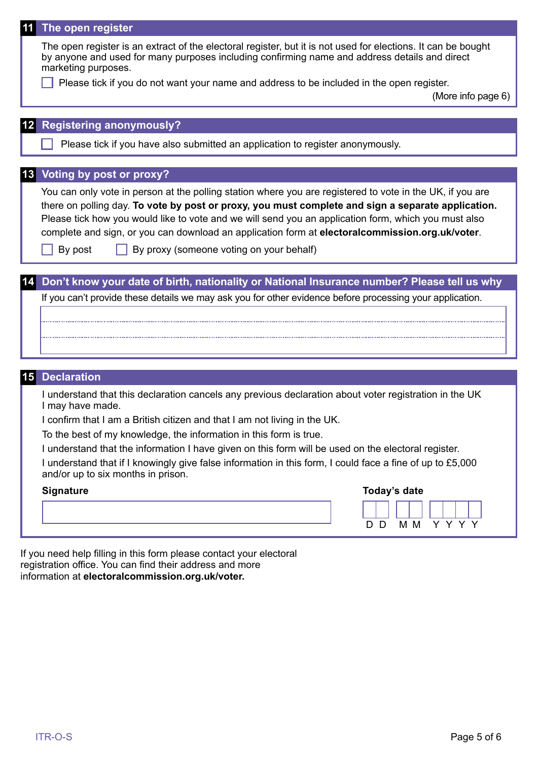| 11 The open register  |                                                                                                                                                                                                                                                                                                                                                                                                                                                                        |  |  |  |  |
|-----------------------|------------------------------------------------------------------------------------------------------------------------------------------------------------------------------------------------------------------------------------------------------------------------------------------------------------------------------------------------------------------------------------------------------------------------------------------------------------------------|--|--|--|--|
| marketing purposes.   | The open register is an extract of the electoral register, but it is not used for elections. It can be bought<br>by anyone and used for many purposes including confirming name and address details and direct                                                                                                                                                                                                                                                         |  |  |  |  |
|                       | Please tick if you do not want your name and address to be included in the open register.<br>(More info page 6)                                                                                                                                                                                                                                                                                                                                                        |  |  |  |  |
|                       |                                                                                                                                                                                                                                                                                                                                                                                                                                                                        |  |  |  |  |
|                       | <b>Registering anonymously?</b>                                                                                                                                                                                                                                                                                                                                                                                                                                        |  |  |  |  |
|                       | Please tick if you have also submitted an application to register anonymously.                                                                                                                                                                                                                                                                                                                                                                                         |  |  |  |  |
|                       | 13 Voting by post or proxy?                                                                                                                                                                                                                                                                                                                                                                                                                                            |  |  |  |  |
| By post               | You can only vote in person at the polling station where you are registered to vote in the UK, if you are<br>there on polling day. To vote by post or proxy, you must complete and sign a separate application.<br>Please tick how you would like to vote and we will send you an application form, which you must also<br>complete and sign, or you can download an application form at electoralcommission.org.uk/voter.<br>By proxy (someone voting on your behalf) |  |  |  |  |
|                       |                                                                                                                                                                                                                                                                                                                                                                                                                                                                        |  |  |  |  |
|                       | Don't know your date of birth, nationality or National Insurance number? Please tell us why                                                                                                                                                                                                                                                                                                                                                                            |  |  |  |  |
|                       | If you can't provide these details we may ask you for other evidence before processing your application.                                                                                                                                                                                                                                                                                                                                                               |  |  |  |  |
|                       |                                                                                                                                                                                                                                                                                                                                                                                                                                                                        |  |  |  |  |
|                       |                                                                                                                                                                                                                                                                                                                                                                                                                                                                        |  |  |  |  |
|                       |                                                                                                                                                                                                                                                                                                                                                                                                                                                                        |  |  |  |  |
|                       |                                                                                                                                                                                                                                                                                                                                                                                                                                                                        |  |  |  |  |
|                       |                                                                                                                                                                                                                                                                                                                                                                                                                                                                        |  |  |  |  |
| <b>15 Declaration</b> |                                                                                                                                                                                                                                                                                                                                                                                                                                                                        |  |  |  |  |
| I may have made.      | I understand that this declaration cancels any previous declaration about voter registration in the UK                                                                                                                                                                                                                                                                                                                                                                 |  |  |  |  |
|                       | I confirm that I am a British citizen and that I am not living in the UK.                                                                                                                                                                                                                                                                                                                                                                                              |  |  |  |  |
|                       | To the best of my knowledge, the information in this form is true.                                                                                                                                                                                                                                                                                                                                                                                                     |  |  |  |  |
|                       | I understand that the information I have given on this form will be used on the electoral register.                                                                                                                                                                                                                                                                                                                                                                    |  |  |  |  |
|                       | I understand that if I knowingly give false information in this form, I could face a fine of up to £5,000<br>and/or up to six months in prison.                                                                                                                                                                                                                                                                                                                        |  |  |  |  |
| <b>Signature</b>      | Today's date                                                                                                                                                                                                                                                                                                                                                                                                                                                           |  |  |  |  |
|                       | Y Y Y Y<br>M M<br>D D                                                                                                                                                                                                                                                                                                                                                                                                                                                  |  |  |  |  |
|                       |                                                                                                                                                                                                                                                                                                                                                                                                                                                                        |  |  |  |  |

If you need help filling in this form please contact your electoral registration office. You can find their address and more information at **[electoralcommission.org.uk/voter.](https://www.electoralcommission.org.uk/i-am-a/voter)**